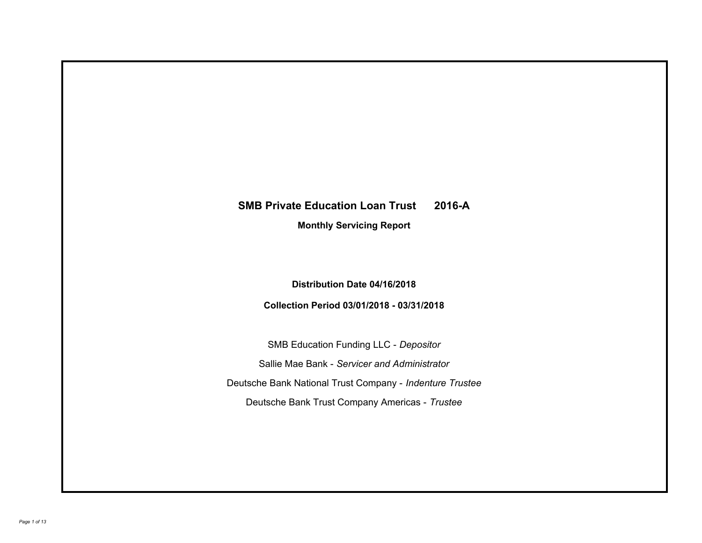# **SMB Private Education Loan Trust 2016-A**

**Monthly Servicing Report**

**Distribution Date 04/16/2018**

**Collection Period 03/01/2018 - 03/31/2018**

SMB Education Funding LLC - *Depositor* Sallie Mae Bank - *Servicer and Administrator* Deutsche Bank National Trust Company - *Indenture Trustee* Deutsche Bank Trust Company Americas - *Trustee*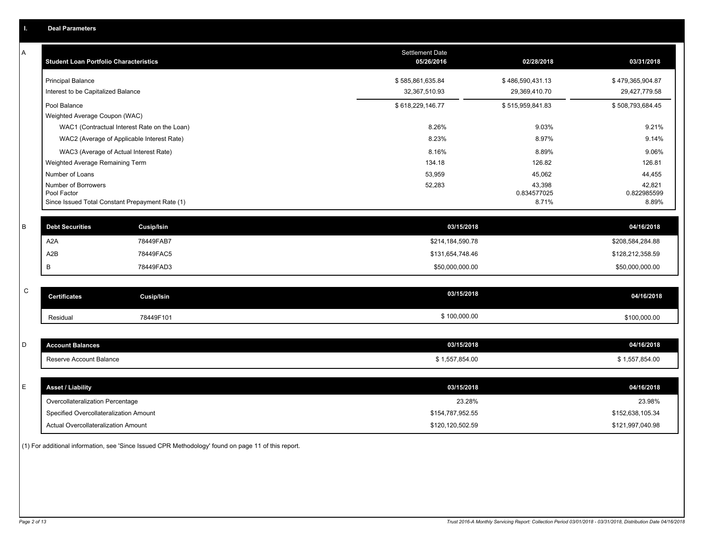|   | <b>Deal Parameters</b>                                                                |                                   |                                   |                                   |
|---|---------------------------------------------------------------------------------------|-----------------------------------|-----------------------------------|-----------------------------------|
| A | <b>Student Loan Portfolio Characteristics</b>                                         | Settlement Date<br>05/26/2016     | 02/28/2018                        | 03/31/2018                        |
|   | <b>Principal Balance</b><br>Interest to be Capitalized Balance                        | \$585,861,635.84<br>32,367,510.93 | \$486,590,431.13<br>29,369,410.70 | \$479,365,904.87<br>29,427,779.58 |
|   | Pool Balance<br>Weighted Average Coupon (WAC)                                         | \$618,229,146.77                  | \$515,959,841.83                  | \$508,793,684.45                  |
|   | WAC1 (Contractual Interest Rate on the Loan)                                          | 8.26%                             | 9.03%                             | 9.21%                             |
|   | WAC2 (Average of Applicable Interest Rate)                                            | 8.23%                             | 8.97%                             | 9.14%                             |
|   | WAC3 (Average of Actual Interest Rate)                                                | 8.16%                             | 8.89%                             | 9.06%                             |
|   | Weighted Average Remaining Term<br>Number of Loans                                    | 134.18<br>53,959                  | 126.82<br>45,062                  | 126.81<br>44,455                  |
|   | Number of Borrowers<br>Pool Factor<br>Since Issued Total Constant Prepayment Rate (1) | 52,283                            | 43,398<br>0.834577025<br>8.71%    | 42,821<br>0.822985599<br>8.89%    |
| B | <b>Debt Securities</b><br><b>Cusip/Isin</b>                                           | 03/15/2018                        |                                   | 04/16/2018                        |
|   | A2A<br>78449FAB7                                                                      | \$214,184,590.78                  |                                   | \$208,584,284.88                  |
|   | A2B<br>78449FAC5                                                                      | \$131,654,748.46                  |                                   | \$128,212,358.59                  |
|   | B<br>78449FAD3                                                                        | \$50,000,000.00                   |                                   | \$50,000,000.00                   |
| C | <b>Certificates</b><br><b>Cusip/Isin</b>                                              | 03/15/2018                        |                                   | 04/16/2018                        |
|   | 78449F101<br>Residual                                                                 | \$100,000.00                      |                                   | \$100,000.00                      |
| D | <b>Account Balances</b>                                                               | 03/15/2018                        |                                   | 04/16/2018                        |
|   | Reserve Account Balance                                                               | \$1,557,854.00                    |                                   | \$1,557,854.00                    |
| E | <b>Asset / Liability</b>                                                              | 03/15/2018                        |                                   | 04/16/2018                        |
|   | Overcollateralization Percentage                                                      | 23.28%                            |                                   | 23.98%                            |
|   | Specified Overcollateralization Amount                                                | \$154,787,952.55                  |                                   | \$152,638,105.34                  |
|   | Actual Overcollateralization Amount                                                   | \$120,120,502.59                  |                                   | \$121,997,040.98                  |
|   |                                                                                       |                                   |                                   |                                   |

(1) For additional information, see 'Since Issued CPR Methodology' found on page 11 of this report.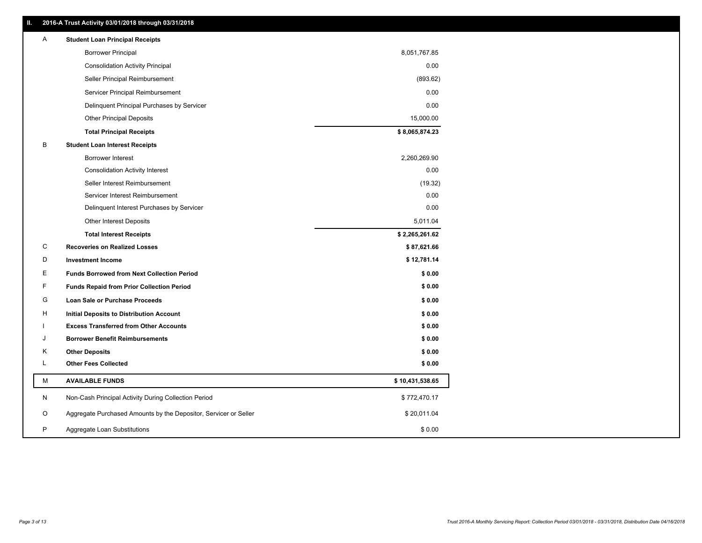| Ш. | 2016-A Trust Activity 03/01/2018 through 03/31/2018              |                 |
|----|------------------------------------------------------------------|-----------------|
| A  | <b>Student Loan Principal Receipts</b>                           |                 |
|    | <b>Borrower Principal</b>                                        | 8,051,767.85    |
|    | <b>Consolidation Activity Principal</b>                          | 0.00            |
|    | Seller Principal Reimbursement                                   | (893.62)        |
|    | Servicer Principal Reimbursement                                 | 0.00            |
|    | Delinquent Principal Purchases by Servicer                       | 0.00            |
|    | <b>Other Principal Deposits</b>                                  | 15,000.00       |
|    | <b>Total Principal Receipts</b>                                  | \$8,065,874.23  |
| В  | <b>Student Loan Interest Receipts</b>                            |                 |
|    | <b>Borrower Interest</b>                                         | 2,260,269.90    |
|    | <b>Consolidation Activity Interest</b>                           | 0.00            |
|    | Seller Interest Reimbursement                                    | (19.32)         |
|    | Servicer Interest Reimbursement                                  | 0.00            |
|    | Delinquent Interest Purchases by Servicer                        | 0.00            |
|    | <b>Other Interest Deposits</b>                                   | 5,011.04        |
|    | <b>Total Interest Receipts</b>                                   | \$2,265,261.62  |
| C  | <b>Recoveries on Realized Losses</b>                             | \$87,621.66     |
| D  | <b>Investment Income</b>                                         | \$12,781.14     |
| Е  | <b>Funds Borrowed from Next Collection Period</b>                | \$0.00          |
| F  | <b>Funds Repaid from Prior Collection Period</b>                 | \$0.00          |
| G  | Loan Sale or Purchase Proceeds                                   | \$0.00          |
| н  | Initial Deposits to Distribution Account                         | \$0.00          |
|    | <b>Excess Transferred from Other Accounts</b>                    | \$0.00          |
| J  | <b>Borrower Benefit Reimbursements</b>                           | \$0.00          |
| Κ  | <b>Other Deposits</b>                                            | \$0.00          |
| L  | <b>Other Fees Collected</b>                                      | \$0.00          |
| М  | <b>AVAILABLE FUNDS</b>                                           | \$10,431,538.65 |
| N  | Non-Cash Principal Activity During Collection Period             | \$772,470.17    |
| O  | Aggregate Purchased Amounts by the Depositor, Servicer or Seller | \$20,011.04     |
| P  | Aggregate Loan Substitutions                                     | \$0.00          |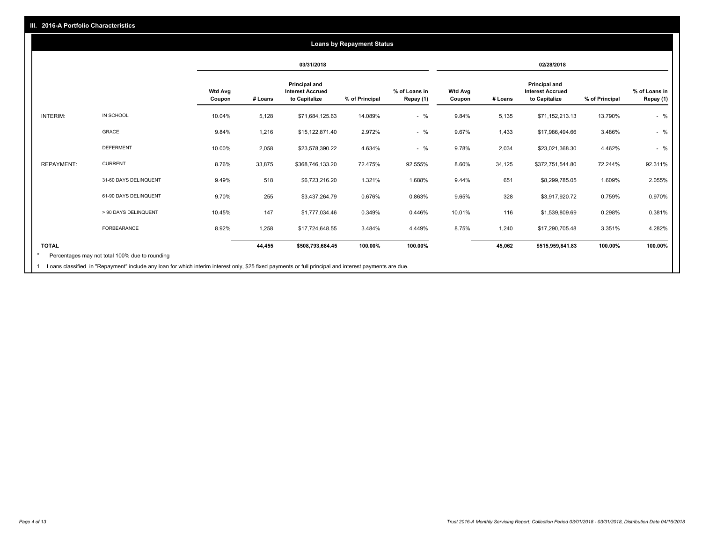### **03/31/2018 02/28/2018 Wtd Avg Coupon # Loans Principal and Interest Accrued to Capitalize % of Principal % of Loans in Repay (1) Wtd Avg Coupon # Loans Principal and Interest Accrued to Capitalize % of Principal % of Loans in Repay (1)**  INTERIM: IN SCHOOL 10.04% 5,128 \$71,684,125.63 14.089% - % 9.84% 5,135 \$71,152,213.13 13.790% - % GRACE 9.84% 1,216 \$15,122,871.40 2.972% - % 9.67% 1,433 \$17,986,494.66 3.486% - % DEFERMENT 10.00% 2,058 \$23,578,390.22 4.634% - % 9.78% 2,034 \$23,021,368.30 4.462% - % REPAYMENT: CURRENT 8.76% 33,875 \$368,746,133.20 72.475% 92.555% 8.60% 34,125 \$372,751,544.80 72.244% 92.311% 31-60 DAYS DELINQUENT 9.49% 518 \$6,723,216.20 1.321% 1.688% 9.44% 651 \$8,299,785.05 1.609% 2.055% 61-90 DAYS DELINQUENT 9.70% 255 \$3,437,264.79 0.676% 0.863% 9.65% 328 \$3,917,920.72 0.759% 0.970% > 90 DAYS DELINQUENT 10.45% 147 \$1,777,034.46 0.349% 0.446% 10.01% 116 \$1,539,809.69 0.298% 0.381% FORBEARANCE 8.92% 1,258 \$17,724,648.55 3.484% 4.449% 8.75% 1,240 \$17,290,705.48 3.351% 4.282% **TOTAL 44,455 \$508,793,684.45 100.00% 100.00% 45,062 \$515,959,841.83 100.00% 100.00% Loans by Repayment Status** Percentages may not total 100% due to rounding \*

Loans classified in "Repayment" include any loan for which interim interest only, \$25 fixed payments or full principal and interest payments are due. 1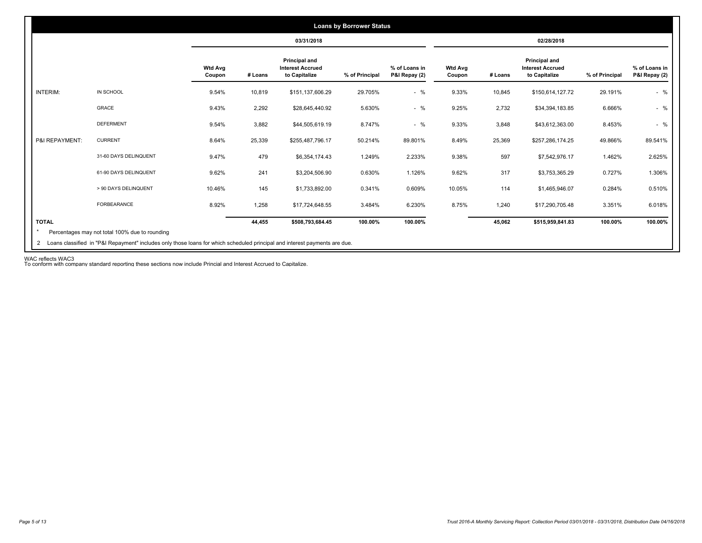|                |                       |                          |         | 03/31/2018                                                       |                |                                |                          |         | 02/28/2018                                                |                |                                |
|----------------|-----------------------|--------------------------|---------|------------------------------------------------------------------|----------------|--------------------------------|--------------------------|---------|-----------------------------------------------------------|----------------|--------------------------------|
|                |                       | <b>Wtd Avg</b><br>Coupon | # Loans | <b>Principal and</b><br><b>Interest Accrued</b><br>to Capitalize | % of Principal | % of Loans in<br>P&I Repay (2) | <b>Wtd Avg</b><br>Coupon | # Loans | Principal and<br><b>Interest Accrued</b><br>to Capitalize | % of Principal | % of Loans in<br>P&I Repay (2) |
| INTERIM:       | IN SCHOOL             | 9.54%                    | 10,819  | \$151,137,606.29                                                 | 29.705%        | $-$ %                          | 9.33%                    | 10,845  | \$150,614,127.72                                          | 29.191%        | $-$ %                          |
|                | <b>GRACE</b>          | 9.43%                    | 2,292   | \$28,645,440.92                                                  | 5.630%         | $-$ %                          | 9.25%                    | 2,732   | \$34,394,183.85                                           | 6.666%         | $-$ %                          |
|                | <b>DEFERMENT</b>      | 9.54%                    | 3,882   | \$44,505,619.19                                                  | 8.747%         | $-$ %                          | 9.33%                    | 3,848   | \$43,612,363.00                                           | 8.453%         | $-$ %                          |
| P&I REPAYMENT: | <b>CURRENT</b>        | 8.64%                    | 25,339  | \$255,487,796.17                                                 | 50.214%        | 89.801%                        | 8.49%                    | 25,369  | \$257,286,174.25                                          | 49.866%        | 89.541%                        |
|                | 31-60 DAYS DELINQUENT | 9.47%                    | 479     | \$6,354,174.43                                                   | 1.249%         | 2.233%                         | 9.38%                    | 597     | \$7,542,976.17                                            | 1.462%         | 2.625%                         |
|                | 61-90 DAYS DELINQUENT | 9.62%                    | 241     | \$3,204,506.90                                                   | 0.630%         | 1.126%                         | 9.62%                    | 317     | \$3,753,365.29                                            | 0.727%         | 1.306%                         |
|                | > 90 DAYS DELINQUENT  | 10.46%                   | 145     | \$1,733,892.00                                                   | 0.341%         | 0.609%                         | 10.05%                   | 114     | \$1,465,946.07                                            | 0.284%         | 0.510%                         |
|                | <b>FORBEARANCE</b>    | 8.92%                    | 1,258   | \$17,724,648.55                                                  | 3.484%         | 6.230%                         | 8.75%                    | 1.240   | \$17,290,705.48                                           | 3.351%         | 6.018%                         |
| <b>TOTAL</b>   |                       |                          | 44,455  | \$508,793,684.45                                                 | 100.00%        | 100.00%                        |                          | 45,062  | \$515,959,841.83                                          | 100.00%        | 100.00%                        |

WAC reflects WAC3 To conform with company standard reporting these sections now include Princial and Interest Accrued to Capitalize.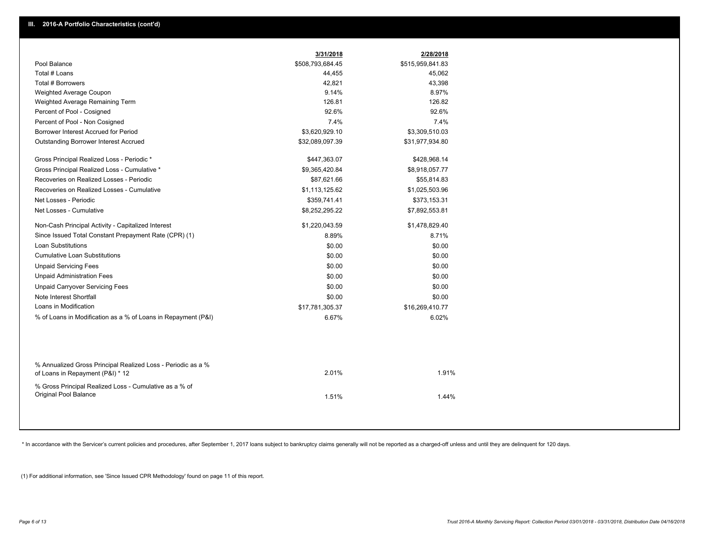|                                                                                                  | 3/31/2018        | 2/28/2018        |
|--------------------------------------------------------------------------------------------------|------------------|------------------|
| Pool Balance                                                                                     | \$508,793,684.45 | \$515,959,841.83 |
| Total # Loans                                                                                    | 44,455           | 45,062           |
| Total # Borrowers                                                                                | 42,821           | 43,398           |
| Weighted Average Coupon                                                                          | 9.14%            | 8.97%            |
| Weighted Average Remaining Term                                                                  | 126.81           | 126.82           |
| Percent of Pool - Cosigned                                                                       | 92.6%            | 92.6%            |
| Percent of Pool - Non Cosigned                                                                   | 7.4%             | 7.4%             |
| Borrower Interest Accrued for Period                                                             | \$3,620,929.10   | \$3,309,510.03   |
| <b>Outstanding Borrower Interest Accrued</b>                                                     | \$32,089,097.39  | \$31,977,934.80  |
| Gross Principal Realized Loss - Periodic *                                                       | \$447,363.07     | \$428,968.14     |
| Gross Principal Realized Loss - Cumulative *                                                     | \$9,365,420.84   | \$8,918,057.77   |
| Recoveries on Realized Losses - Periodic                                                         | \$87,621.66      | \$55,814.83      |
| Recoveries on Realized Losses - Cumulative                                                       | \$1,113,125.62   | \$1,025,503.96   |
| Net Losses - Periodic                                                                            | \$359,741.41     | \$373,153.31     |
| Net Losses - Cumulative                                                                          | \$8,252,295.22   | \$7,892,553.81   |
| Non-Cash Principal Activity - Capitalized Interest                                               | \$1,220,043.59   | \$1,478,829.40   |
| Since Issued Total Constant Prepayment Rate (CPR) (1)                                            | 8.89%            | 8.71%            |
| <b>Loan Substitutions</b>                                                                        | \$0.00           | \$0.00           |
| <b>Cumulative Loan Substitutions</b>                                                             | \$0.00           | \$0.00           |
| <b>Unpaid Servicing Fees</b>                                                                     | \$0.00           | \$0.00           |
| <b>Unpaid Administration Fees</b>                                                                | \$0.00           | \$0.00           |
| <b>Unpaid Carryover Servicing Fees</b>                                                           | \$0.00           | \$0.00           |
| Note Interest Shortfall                                                                          | \$0.00           | \$0.00           |
| Loans in Modification                                                                            | \$17,781,305.37  | \$16,269,410.77  |
| % of Loans in Modification as a % of Loans in Repayment (P&I)                                    | 6.67%            | 6.02%            |
|                                                                                                  |                  |                  |
| % Annualized Gross Principal Realized Loss - Periodic as a %<br>of Loans in Repayment (P&I) * 12 | 2.01%            | 1.91%            |
| % Gross Principal Realized Loss - Cumulative as a % of<br>Original Pool Balance                  | 1.51%            | 1.44%            |

\* In accordance with the Servicer's current policies and procedures, after September 1, 2017 loans subject to bankruptcy claims generally will not be reported as a charged-off unless and until they are delinquent for 120 d

(1) For additional information, see 'Since Issued CPR Methodology' found on page 11 of this report.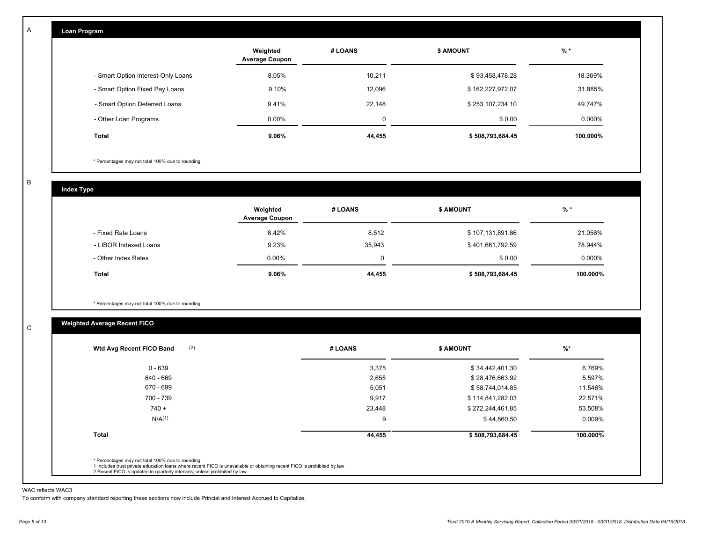| Loan Program                       |                                   |         |                  |           |
|------------------------------------|-----------------------------------|---------|------------------|-----------|
|                                    | Weighted<br><b>Average Coupon</b> | # LOANS | <b>\$ AMOUNT</b> | $%$ *     |
| - Smart Option Interest-Only Loans | 8.05%                             | 10,211  | \$93,458,478.28  | 18.369%   |
| - Smart Option Fixed Pay Loans     | 9.10%                             | 12,096  | \$162,227,972.07 | 31.885%   |
| - Smart Option Deferred Loans      | 9.41%                             | 22,148  | \$253,107,234.10 | 49.747%   |
| - Other Loan Programs              | $0.00\%$                          | 0       | \$0.00           | $0.000\%$ |
| Total                              | 9.06%                             | 44,455  | \$508,793,684.45 | 100.000%  |

\* Percentages may not total 100% due to rounding

B

C

A

| <b>Index Type</b>     |                                   |         |                  |           |
|-----------------------|-----------------------------------|---------|------------------|-----------|
|                       | Weighted<br><b>Average Coupon</b> | # LOANS | <b>\$ AMOUNT</b> | $%$ *     |
| - Fixed Rate Loans    | 8.42%                             | 8,512   | \$107,131,891.86 | 21.056%   |
| - LIBOR Indexed Loans | 9.23%                             | 35,943  | \$401,661,792.59 | 78.944%   |
| - Other Index Rates   | $0.00\%$                          | 0       | \$0.00           | $0.000\%$ |
| Total                 | 9.06%                             | 44,455  | \$508,793,684.45 | 100.000%  |

\* Percentages may not total 100% due to rounding

## **Weighted Average Recent FICO**

| 3,375<br>2,655<br>5,051<br>9,917 | \$34,442,401.30<br>\$28,476,663.92<br>\$58,744,014.85 | 6.769%<br>5.597%<br>11.546% |
|----------------------------------|-------------------------------------------------------|-----------------------------|
|                                  |                                                       |                             |
|                                  |                                                       |                             |
|                                  |                                                       |                             |
|                                  | \$114,841,282.03                                      | 22.571%                     |
| 23,448                           | \$272,244,461.85                                      | 53.508%                     |
| 9                                | \$44,860.50                                           | $0.009\%$                   |
| 44,455                           | \$508,793,684.45                                      | 100.000%                    |
|                                  |                                                       |                             |

#### WAC reflects WAC3

To conform with company standard reporting these sections now include Princial and Interest Accrued to Capitalize.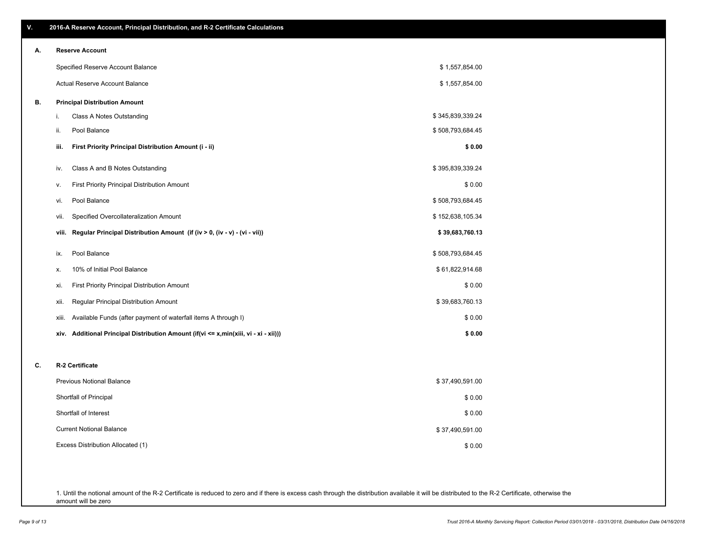\$ 0.00

\$ 37,490,591.00

\$ 0.00 \$ 0.00

| А. | <b>Reserve Account</b>                                                               |                  |
|----|--------------------------------------------------------------------------------------|------------------|
|    | Specified Reserve Account Balance                                                    | \$1,557,854.00   |
|    | Actual Reserve Account Balance                                                       | \$1,557,854.00   |
| В. | <b>Principal Distribution Amount</b>                                                 |                  |
|    | Class A Notes Outstanding<br>i.                                                      | \$345,839,339.24 |
|    | Pool Balance<br>ii.                                                                  | \$508,793,684.45 |
|    | iii.<br>First Priority Principal Distribution Amount (i - ii)                        | \$0.00           |
|    | Class A and B Notes Outstanding<br>iv.                                               | \$395,839,339.24 |
|    | <b>First Priority Principal Distribution Amount</b><br>ν.                            | \$0.00           |
|    | Pool Balance<br>vi.                                                                  | \$508,793,684.45 |
|    | Specified Overcollateralization Amount<br>vii.                                       | \$152,638,105.34 |
|    | viii. Regular Principal Distribution Amount (if (iv > 0, (iv - v) - (vi - vii))      | \$39,683,760.13  |
|    | Pool Balance<br>ix.                                                                  | \$508,793,684.45 |
|    | 10% of Initial Pool Balance<br>х.                                                    | \$61,822,914.68  |
|    | First Priority Principal Distribution Amount<br>xi.                                  | \$0.00           |
|    | Regular Principal Distribution Amount<br>xii.                                        | \$39,683,760.13  |
|    | Available Funds (after payment of waterfall items A through I)<br>xiii.              | \$0.00           |
|    | xiv. Additional Principal Distribution Amount (if(vi <= x,min(xiii, vi - xi - xii))) | \$0.00           |

Excess Distribution Allocated (1) Current Notional Balance Shortfall of Interest Shortfall of Principal

1. Until the notional amount of the R-2 Certificate is reduced to zero and if there is excess cash through the distribution available it will be distributed to the R-2 Certificate, otherwise the amount will be zero

## **V. 2016-A Reserve Account, Principal Distribution, and R-2 Certificate Calculations**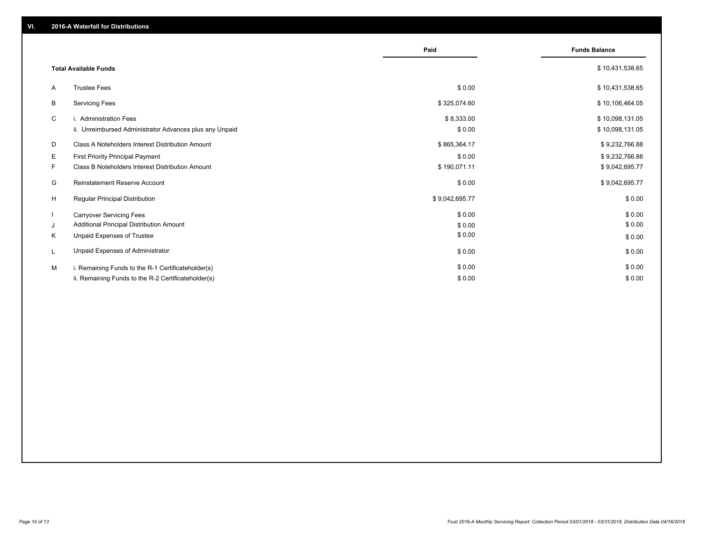|    |                                                         | Paid           | <b>Funds Balance</b> |
|----|---------------------------------------------------------|----------------|----------------------|
|    | <b>Total Available Funds</b>                            |                | \$10,431,538.65      |
| A  | <b>Trustee Fees</b>                                     | \$0.00         | \$10,431,538.65      |
| B  | <b>Servicing Fees</b>                                   | \$325,074.60   | \$10,106,464.05      |
| C  | i. Administration Fees                                  | \$8,333.00     | \$10,098,131.05      |
|    | ii. Unreimbursed Administrator Advances plus any Unpaid | \$0.00         | \$10,098,131.05      |
| D  | Class A Noteholders Interest Distribution Amount        | \$865,364.17   | \$9,232,766.88       |
| E. | <b>First Priority Principal Payment</b>                 | \$0.00         | \$9,232,766.88       |
| F  | Class B Noteholders Interest Distribution Amount        | \$190,071.11   | \$9,042,695.77       |
| G  | <b>Reinstatement Reserve Account</b>                    | \$0.00         | \$9,042,695.77       |
| H  | Regular Principal Distribution                          | \$9,042,695.77 | \$0.00               |
|    | <b>Carryover Servicing Fees</b>                         | \$0.00         | \$0.00               |
| J  | Additional Principal Distribution Amount                | \$0.00         | \$0.00               |
| Κ  | Unpaid Expenses of Trustee                              | \$0.00         | \$0.00               |
| L  | Unpaid Expenses of Administrator                        | \$0.00         | \$0.00               |
| M  | i. Remaining Funds to the R-1 Certificateholder(s)      | \$0.00         | \$0.00               |
|    | ii. Remaining Funds to the R-2 Certificateholder(s)     | \$0.00         | \$0.00               |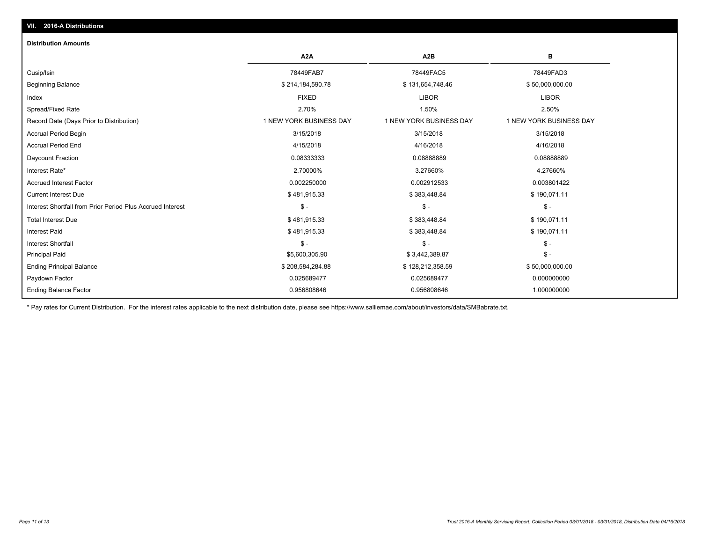## **VII. 2016-A Distributions**

#### **Distribution Amounts**

|                                                            | A <sub>2</sub> A        | A <sub>2</sub> B        | в                       |
|------------------------------------------------------------|-------------------------|-------------------------|-------------------------|
| Cusip/Isin                                                 | 78449FAB7               | 78449FAC5               | 78449FAD3               |
| <b>Beginning Balance</b>                                   | \$214,184,590.78        | \$131,654,748.46        | \$50,000,000.00         |
| Index                                                      | <b>FIXED</b>            | <b>LIBOR</b>            | <b>LIBOR</b>            |
| Spread/Fixed Rate                                          | 2.70%                   | 1.50%                   | 2.50%                   |
| Record Date (Days Prior to Distribution)                   | 1 NEW YORK BUSINESS DAY | 1 NEW YORK BUSINESS DAY | 1 NEW YORK BUSINESS DAY |
| <b>Accrual Period Begin</b>                                | 3/15/2018               | 3/15/2018               | 3/15/2018               |
| <b>Accrual Period End</b>                                  | 4/15/2018               | 4/16/2018               | 4/16/2018               |
| Daycount Fraction                                          | 0.08333333              | 0.0888889               | 0.08888889              |
| Interest Rate*                                             | 2.70000%                | 3.27660%                | 4.27660%                |
| <b>Accrued Interest Factor</b>                             | 0.002250000             | 0.002912533             | 0.003801422             |
| <b>Current Interest Due</b>                                | \$481,915.33            | \$383,448.84            | \$190,071.11            |
| Interest Shortfall from Prior Period Plus Accrued Interest | $S -$                   | $S -$                   | $$ -$                   |
| <b>Total Interest Due</b>                                  | \$481,915.33            | \$383,448.84            | \$190,071.11            |
| <b>Interest Paid</b>                                       | \$481,915.33            | \$383,448.84            | \$190,071.11            |
| <b>Interest Shortfall</b>                                  | $S -$                   | $S -$                   | \$ -                    |
| <b>Principal Paid</b>                                      | \$5,600,305.90          | \$3,442,389.87          | $$ -$                   |
| <b>Ending Principal Balance</b>                            | \$208,584,284.88        | \$128,212,358.59        | \$50,000,000.00         |
| Paydown Factor                                             | 0.025689477             | 0.025689477             | 0.000000000             |
| <b>Ending Balance Factor</b>                               | 0.956808646             | 0.956808646             | 1.000000000             |

\* Pay rates for Current Distribution. For the interest rates applicable to the next distribution date, please see https://www.salliemae.com/about/investors/data/SMBabrate.txt.